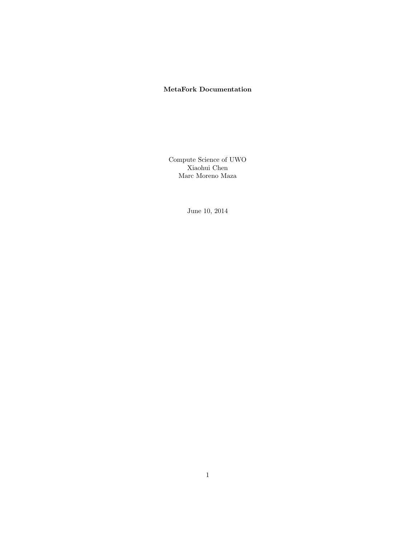#### MetaFork Documentation

Compute Science of UWO Xiaohui Chen Marc Moreno Maza

June 10, 2014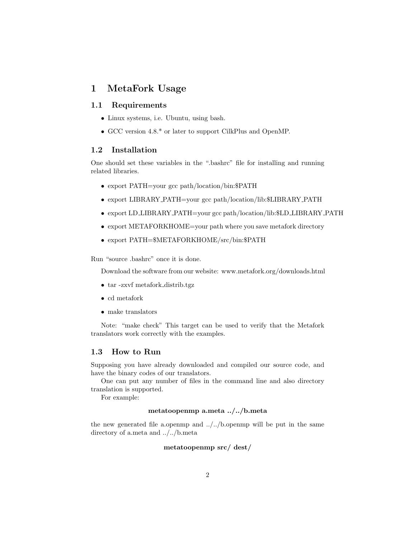## 1 MetaFork Usage

#### 1.1 Requirements

- Linux systems, i.e. Ubuntu, using bash.
- GCC version 4.8.\* or later to support CilkPlus and OpenMP.

### 1.2 Installation

One should set these variables in the ".bashrc" file for installing and running related libraries.

- export PATH=your gcc path/location/bin:\$PATH
- export LIBRARY PATH=your gcc path/location/lib:\$LIBRARY PATH
- export LD LIBRARY PATH=your gcc path/location/lib:\$LD LIBRARY PATH
- export METAFORKHOME=your path where you save metafork directory
- export PATH=\$METAFORKHOME/src/bin:\$PATH

Run "source .bashrc" once it is done.

Download the software from our website: www.metafork.org/downloads.html

- tar -zxvf metafork distrib.tgz
- cd metafork
- make translators

Note: "make check" This target can be used to verify that the Metafork translators work correctly with the examples.

#### 1.3 How to Run

Supposing you have already downloaded and compiled our source code, and have the binary codes of our translators.

One can put any number of files in the command line and also directory translation is supported.

For example:

#### metatoopenmp a.meta ../../b.meta

the new generated file a.openmp and ../../b.openmp will be put in the same directory of a.meta and ../../b.meta

#### metatoopenmp src/ dest/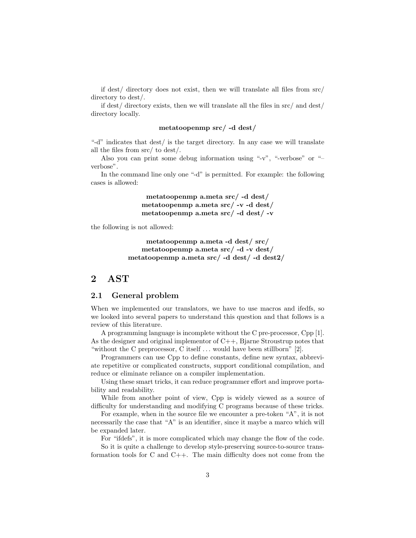if dest/ directory does not exist, then we will translate all files from src/ directory to dest/.

if dest/ directory exists, then we will translate all the files in src/ and dest/ directory locally.

#### metatoopenmp src/ -d dest/

"-d" indicates that dest/ is the target directory. In any case we will translate all the files from src/ to dest/.

Also you can print some debug information using "-v", "-verbose" or "– verbose".

In the command line only one "-d" is permitted. For example: the following cases is allowed:

> metatoopenmp a.meta src/ -d dest/ metatoopenmp a.meta src/ -v -d dest/ metatoopenmp a.meta src/ -d dest/ -v

the following is not allowed:

metatoopenmp a.meta -d dest/ src/ metatoopenmp a.meta src/ -d -v dest/ metatoopenmp a.meta src/ -d dest/ -d dest2/

## 2 AST

#### 2.1 General problem

When we implemented our translators, we have to use macros and ifedfs, so we looked into several papers to understand this question and that follows is a review of this literature.

A programming language is incomplete without the C pre-processor, Cpp [1]. As the designer and original implementor of  $C_{++}$ , Bjarne Stroustrup notes that "without the C preprocessor, C itself . . . would have been stillborn" [2].

Programmers can use Cpp to define constants, define new syntax, abbreviate repetitive or complicated constructs, support conditional compilation, and reduce or eliminate reliance on a compiler implementation.

Using these smart tricks, it can reduce programmer effort and improve portability and readability.

While from another point of view, Cpp is widely viewed as a source of difficulty for understanding and modifying C programs because of these tricks.

For example, when in the source file we encounter a pre-token "A", it is not necessarily the case that "A" is an identifier, since it maybe a marco which will be expanded later.

For "ifdefs", it is more complicated which may change the flow of the code.

So it is quite a challenge to develop style-preserving source-to-source transformation tools for C and C++. The main difficulty does not come from the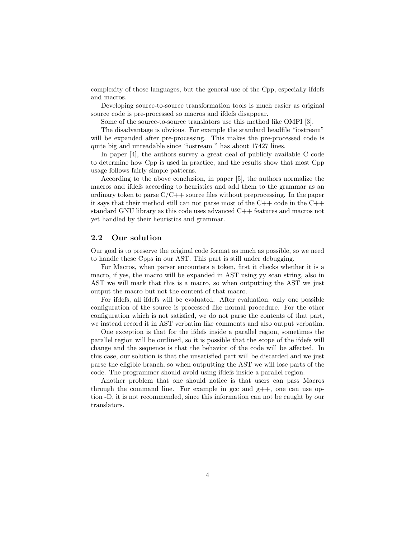complexity of those languages, but the general use of the Cpp, especially ifdefs and macros.

Developing source-to-source transformation tools is much easier as original source code is pre-processed so macros and ifdefs disappear.

Some of the source-to-source translators use this method like OMPI [3].

The disadvantage is obvious. For example the standard headfile "iostream" will be expanded after pre-processing. This makes the pre-processed code is quite big and unreadable since "iostream " has about 17427 lines.

In paper [4], the authors survey a great deal of publicly available C code to determine how Cpp is used in practice, and the results show that most Cpp usage follows fairly simple patterns.

According to the above conclusion, in paper [5], the authors normalize the macros and ifdefs according to heuristics and add them to the grammar as an ordinary token to parse  $C/C++$  source files without preprocessing. In the paper it says that their method still can not parse most of the  $C++$  code in the  $C++$ standard GNU library as this code uses advanced C++ features and macros not yet handled by their heuristics and grammar.

#### 2.2 Our solution

Our goal is to preserve the original code format as much as possible, so we need to handle these Cpps in our AST. This part is still under debugging.

For Macros, when parser encounters a token, first it checks whether it is a macro, if yes, the macro will be expanded in AST using yy scan string, also in AST we will mark that this is a macro, so when outputting the AST we just output the macro but not the content of that macro.

For ifdefs, all ifdefs will be evaluated. After evaluation, only one possible configuration of the source is processed like normal procedure. For the other configuration which is not satisfied, we do not parse the contents of that part, we instead record it in AST verbatim like comments and also output verbatim.

One exception is that for the ifdefs inside a parallel region, sometimes the parallel region will be outlined, so it is possible that the scope of the ifdefs will change and the sequence is that the behavior of the code will be affected. In this case, our solution is that the unsatisfied part will be discarded and we just parse the eligible branch, so when outputting the AST we will lose parts of the code. The programmer should avoid using ifdefs inside a parallel region.

Another problem that one should notice is that users can pass Macros through the command line. For example in gcc and  $g_{++}$ , one can use option -D, it is not recommended, since this information can not be caught by our translators.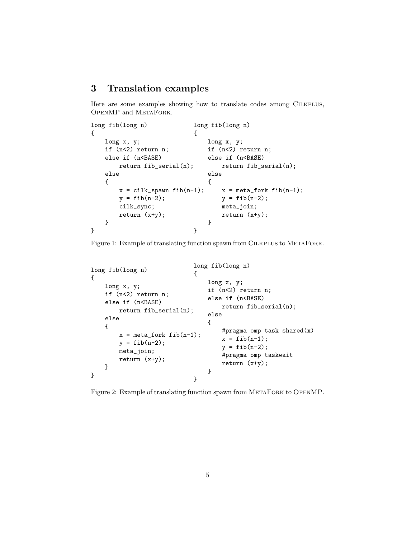# 3 Translation examples

Here are some examples showing how to translate codes among CILKPLUS, OpenMP and MetaFork.

```
long fib(long n)
{
    long x, y;
    if (n<2) return n;
    else if (n<BASE)
        return fib_serial(n);
    else
    {
        x = cilk_spawn fib(n-1);y = fib(n-2);cilk_sync;
        return (x+y);
    }
}
                              long fib(long n)
                              {
                                  long x, y;
                                  if (n<2) return n;
                                  else if (n<BASE)
                                      return fib_serial(n);
                                  else
                                  {
                                      x = meta_fork fib(n-1);y = fib(n-2);meta_join;
                                      return (x+y);
                                  }
                              }
```
Figure 1: Example of translating function spawn from CILKPLUS to METAFORK.

```
long fib(long n)
{
    long x, y;
    if (n<2) return n;
    else if (n<BASE)
        return fib_serial(n);
    else
    {
        x = meta_fork fib(n-1);y = fib(n-2);meta_join;
        return (x+y);
    }
}
                              long fib(long n)
                              {
                                  long x, y;
                                  if (n<2) return n;
                                  else if (n<BASE)
                                      return fib_serial(n);
                                  else
                                  {
                                      #pragma omp task shared(x)
                                      x = fib(n-1);y = fib(n-2);#pragma omp taskwait
                                      return (x+y);
                                  }
                              }
```
Figure 2: Example of translating function spawn from METAFORK to OPENMP.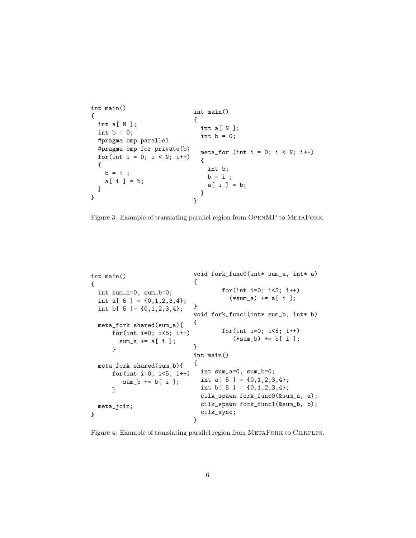```
int main()
{
 int a[ N ];
 int b = 0;
 #pragma omp parallel
 #pragma omp for private(b)
 for(int i = 0; i < N; i++){
   b = i ;a[i] = b;}
}
                             int main()
                             {
                               int a[ N ];
                               int b = 0;
                               meta_for (int i = 0; i < N; i++){
                                 int b;
                                b = i;
                                 a[i] = b;}
                             }
```
Figure 3: Example of translating parallel region from OPENMP to METAFORK.

```
int main()
{
  int sum_a=0, sum_b=0;
  int a[ 5 ] = \{0,1,2,3,4\};int b[ 5 ]= {0,1,2,3,4};
 meta_fork shared(sum_a){
      for(int i=0; i<5; i++)
        sum_a += a[i];
      }
 meta_fork shared(sum_b){
      for(int i=0; i<5; i++)
         sum_b += b[i];
      }
 meta_join;
}
                             void fork_func0(int* sum_a, int* a)
                             {
                                      for(int i=0; i<5; i++)
                                        (*sum_a) += a[ i ];
                             }
                             void fork_func1(int* sum_b, int* b)
                             {
                                      for(int i=0; i<5; i++)(*sum_b) += b[i];
                             }
                             int main()
                             {
                               int sum_a=0, sum_b=0;
                                int a[ 5 ] = \{0,1,2,3,4\};int b[ 5 ] = \{0,1,2,3,4\};cilk_spawn fork_func0(&sum_a, a);
                               cilk_spawn fork_func1(&sum_b, b);
                               cilk_sync;
                             }
```
Figure 4: Example of translating parallel region from METAFORK to CILKPLUS.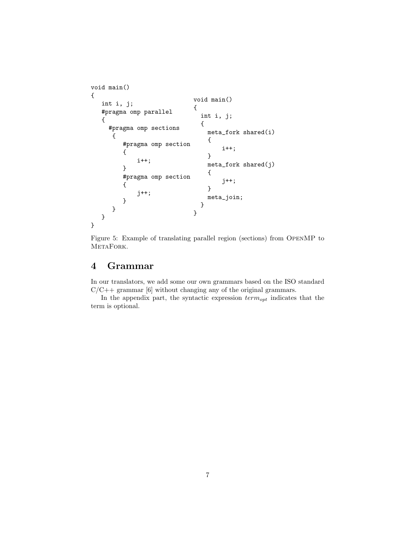```
void main()
{
   int i, j;
   #pragma omp parallel
   {
     #pragma omp sections
      {
         #pragma omp section
          {
              i++;
         }
         #pragma omp section
         {
              j++;
         }
      }
   }
}
                               void main()
                               {
                                 int i, j;
                                 {
                                   meta_fork shared(i)
                                   {
                                        i++;
                                   }
                                   meta_fork shared(j)
                                   {
                                        j++;
                                   }
                                   meta_join;
                                 }
                               }
```
Figure 5: Example of translating parallel region (sections) from OpenMP to METAFORK.

# 4 Grammar

In our translators, we add some our own grammars based on the ISO standard  $C/C++$  grammar [6] without changing any of the original grammars.

In the appendix part, the syntactic expression  $term_{opt}$  indicates that the term is optional.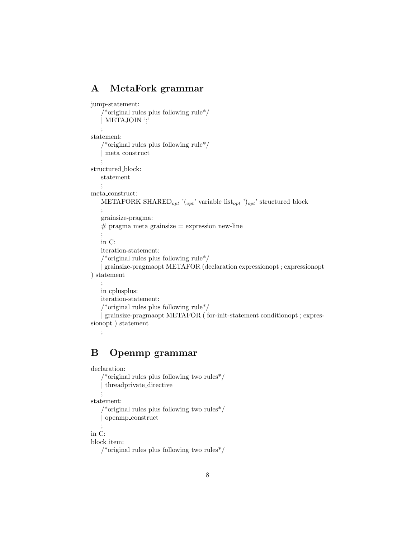# A MetaFork grammar

```
jump-statement:
    /*original rules plus following rule*/
   | METAJOIN ';'
    ;
statement:
   \rm /*<br>original rules plus following rule*/ \rm| meta construct
   ;
structured block:
   statement
    ;
meta construct:
   METAFORK SHARED<sub>opt</sub> '(<sub>opt</sub>' variable list<sub>opt</sub>')<sub>opt</sub>' structured block
    ;
   grainsize-pragma:
   # pragma meta grainsize = expression new-line
    ;
   in C:
   iteration-statement:
   /*original rules plus following rule*/
   | grainsize-pragmaopt METAFOR (declaration expressionopt ; expressionopt
) statement
    ;
   in cplusplus:
   iteration-statement:
   /*original rules plus following rule*/
   | grainsize-pragmaopt METAFOR ( for-init-statement conditionopt ; expres-
sionopt ) statement
```

```
;
```
# B Openmp grammar

```
declaration:
```

```
/*original rules plus following two rules*/
   | threadprivate directive
    ;
statement:
   /*original rules plus following two rules*/
    | openmp construct
    ;
in C:
block item:
```

```
/*original rules plus following two rules*/
```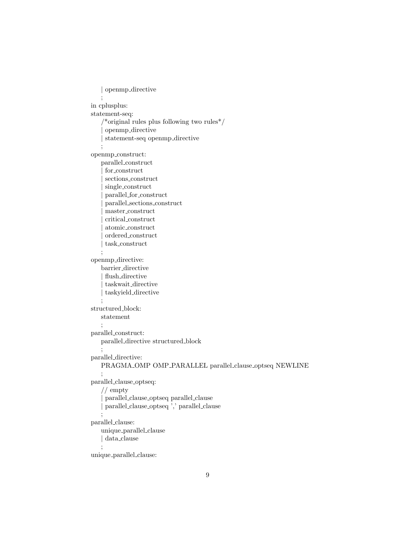```
| openmp directive
    ;
in cplusplus:
statement-seq:
    /*original rules plus following two rules*/
     | openmp directive
    | statement-seq openmp directive
   ;
openmp construct:
   parallel construct
     | for construct
     | sections construct
     \emph{single\_construct}| parallel for construct
     | parallel sections construct
     | master construct
     | critical construct
     | atomic construct
     \operatorname{ordered\_construct}| task construct
   ;
openmp directive:
   barrier directive
     flush_directive
     | taskwait directive
     | taskyield directive
    ;
structured block:
   statement
   ;
parallel construct:
   parallel directive structured block
   ;
parallel directive:
   PRAGMA OMP OMP PARALLEL parallel clause optseq NEWLINE
    ;
parallel clause optseq:
   // empty
    | parallel clause optseq parallel clause
    | parallel clause optseq ',' parallel clause
    ;
parallel clause:
   unique parallel clause
   | data clause
   ;
unique parallel clause:
```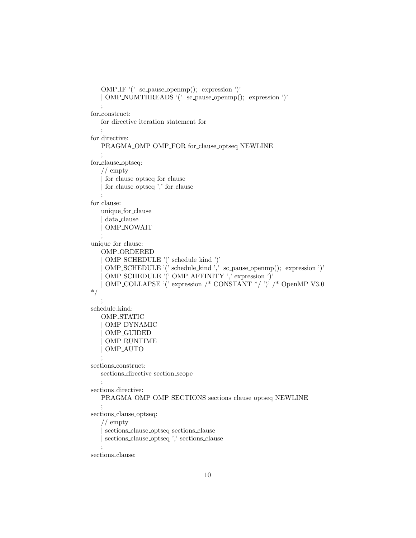```
OMP IF '(' sc pause openmp(); expression ')'
   | OMP NUMTHREADS '(' sc pause openmp(); expression ')'
   ;
for construct:
   for directive iteration statement for
   ;
for_directive:
   PRAGMA OMP OMP FOR for clause optseq NEWLINE
   ;
for clause optseq:
   // empty
    | for clause optseq for clause
    | for clause optseq ',' for clause
   ;
for clause:
   unique for clause
    | data clause
    | OMP NOWAIT
   ;
unique for clause:
   OMP ORDERED
    | OMP SCHEDULE '(' schedule kind ')'
    | OMP SCHEDULE '(' schedule kind ',' sc pause openmp(); expression ')'
    | OMP SCHEDULE '(' OMP AFFINITY ',' expression ')'
   | OMP COLLAPSE '(' expression /* CONSTANT */ ')' /* OpenMP V3.0
*/
   ;
schedule kind:
   OMP STATIC
   | OMP DYNAMIC
    | OMP GUIDED
    | OMP RUNTIME
    | OMP AUTO
   ;
sections construct:
   sections directive section scope
   ;
sections directive:
   PRAGMA OMP OMP SECTIONS sections clause optseq NEWLINE
   ;
sections clause optseq:
   // empty
    | sections clause optseq sections clause
    sections_clause_optseq ',' sections_clause
   ;
```
sections clause: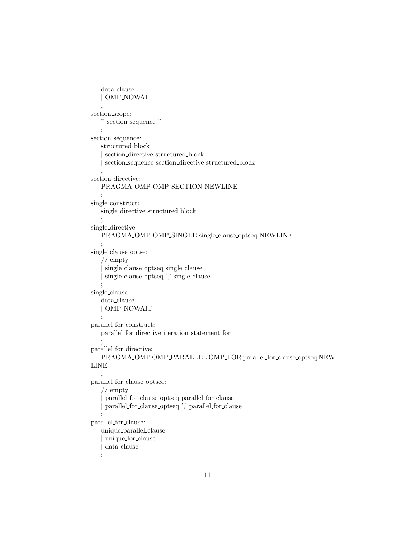```
data clause
   | OMP NOWAIT
   ;
section scope:
   '' section sequence ''
   ;
section sequence:
   structured block
    | section directive structured block
    section_sequence section_directive structured_block
   ;
section directive:
   PRAGMA OMP OMP SECTION NEWLINE
   ;
single construct:
   single directive structured block
   ;
single directive:
   PRAGMA OMP OMP SINGLE single clause optseq NEWLINE
   ;
single clause optseq:
   // empty
    | single clause optseq single clause
    | single clause optseq ',' single clause
   ;
single clause:
   data clause
   | OMP NOWAIT
   ;
parallel for construct:
   parallel for directive iteration statement for
   ;
parallel for directive:
   PRAGMA OMP OMP PARALLEL OMP FOR parallel for clause optseq NEW-
LINE
   ;
parallel for clause optseq:
   // empty
    | parallel for clause optseq parallel for clause
    | parallel for clause optseq ',' parallel for clause
   ;
parallel for clause:
   unique parallel clause
    | unique for clause
   | data clause
   ;
```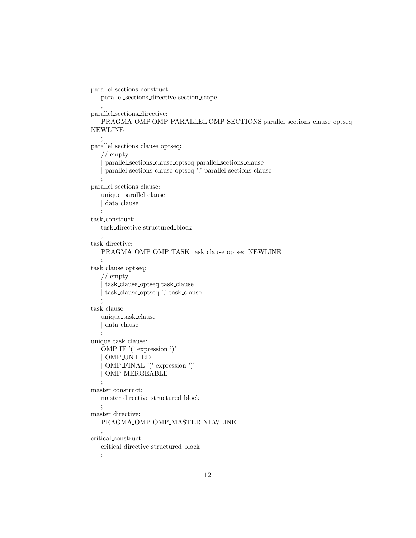```
parallel sections construct:
   parallel sections directive section scope
   ;
parallel sections directive:
   PRAGMA OMP OMP PARALLEL OMP SECTIONS parallel sections clause optseq
NEWLINE
   ;
parallel sections clause optseq:
   // empty
    | parallel sections clause optseq parallel sections clause
    | parallel sections clause optseq ',' parallel sections clause
   ;
parallel sections clause:
   unique parallel clause
   | data clause
   ;
task construct:
   task directive structured block
   ;
task directive:
   PRAGMA OMP OMP TASK task clause optseq NEWLINE
   ;
task clause optseq:
   // empty
    | task clause optseq task clause
    | task clause optseq ',' task clause
   ;
task clause:
   unique task clause
   | data clause
   ;
unique_task_clause:
   OMP IF '(' expression ')'
   | OMP UNTIED
    | OMP FINAL '(' expression ')'
   | OMP MERGEABLE
   ;
\, master_construct:
   master directive structured block
   ;
master directive:
   PRAGMA OMP OMP MASTER NEWLINE
   ;
critical construct:
   critical directive structured block
   ;
```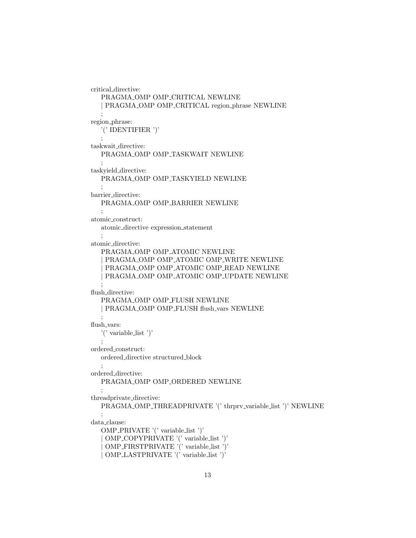```
critical directive:
  PRAGMA OMP OMP CRITICAL NEWLINE
  | PRAGMA OMP OMP CRITICAL region phrase NEWLINE
   ;
region phrase:
  '(' IDENTIFIER ')'
  \bullettaskwait directive:
  PRAGMA_OMP OMP_TASKWAIT NEWLINE
   ;
taskyield directive:
  PRAGMA OMP OMP TASKYIELD NEWLINE
   ;
barrier directive:
  PRAGMA OMP OMP BARRIER NEWLINE
   ;
atomic construct:
  atomic directive expression statement
   ;
atomic directive:
  PRAGMA OMP OMP ATOMIC NEWLINE
   PRAGMA_OMP OMP_ATOMIC OMP_WRITE NEWLINE
   PRAGMA_OMP OMP_ATOMIC OMP_READ NEWLINE
   PRAGMA_OMP OMP_ATOMIC OMP_UPDATE NEWLINE
   ;
flush_directive:
  PRAGMA OMP OMP FLUSH NEWLINE
  | PRAGMA OMP OMP FLUSH flush vars NEWLINE
   ;
flush_vars:
   '(' variable list ')'
  ;
ordered construct:
  ordered directive structured block
   ;
ordered directive:
  PRAGMA OMP OMP ORDERED NEWLINE
  ;
threadprivate directive:
  PRAGMA_OMP_THREADPRIVATE '(' thrprv_variable_list ')' NEWLINE
   ;
data clause:
  OMP PRIVATE '(' variable list ')'
   | OMP COPYPRIVATE '(' variable list ')'
   | OMP FIRSTPRIVATE '(' variable list ')'
   | OMP LASTPRIVATE '(' variable list ')'
```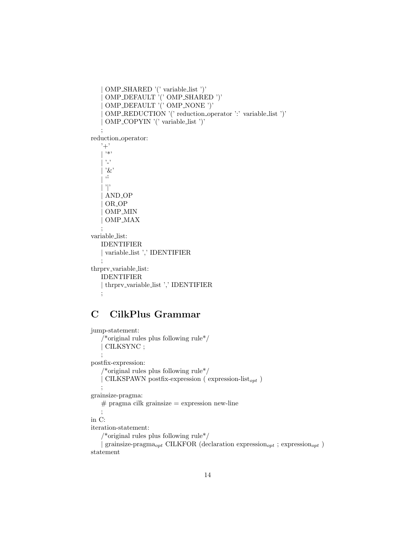```
| OMP SHARED '(' variable list ')'
     | OMP DEFAULT '(' OMP SHARED ')'
    | OMP DEFAULT '(' OMP NONE ')'
     | OMP REDUCTION '(' reduction operator ':' variable list ')'
    | OMP COPYIN '(' variable list ')'
    ;
reduction operator:
   '+'
   | \cdot * \cdot, \cdot| '&'
    | \cdot<sup>5</sup>
     | '|'
    | AND OP
    | OR OP
     | OMP MIN
    | OMP MAX
    ;
variable list:
   IDENTIFIER
   | variable list ',' IDENTIFIER
   ;
thrprv_variable_list:
   IDENTIFIER
   | thrprv variable list ',' IDENTIFIER
   ;
```
# C CilkPlus Grammar

```
jump-statement:
    /*original rules plus following rule*/ \,| CILKSYNC ;
    ;
postfix-expression:
    /*original rules plus following rule*/
     <code>CILKSPAWN</code> postfix-expression ( <code>expression-list<sub>opt</sub> )</code>
    ;
grainsize-pragma:
    # pragma cilk grainsize = expression new-line
    ;
in C:
iteration-statement:
    /*original rules plus following rule*/
     grainsize-pragma<sub>opt</sub> CILKFOR (declaration expression<sub>opt</sub> ; expression<sub>opt</sub> )
statement
```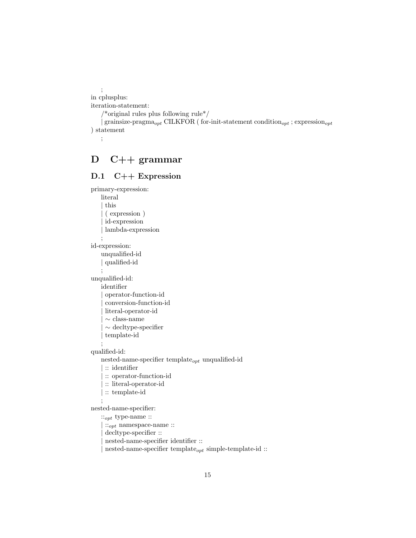; in cplusplus: iteration-statement: /\*original rules plus following rule\*/ | grainsize-pragma<sub>opt</sub> CILKFOR ( for-init-statement condition<sub>opt</sub> ; expression<sub>opt</sub> ) statement ;

# D C++ grammar

#### D.1 C++ Expression

```
primary-expression:
   literal
     | this
     | ( expression )
     id-expression
     | lambda-expression
    ;
id-expression:
    unqualified-id
    | qualified-id
    ;
unqualified-id:
   identifier
     | operator-function-id
     | conversion-function-id
     | literal-operator-id
     \sim class-name
     | ∼ decltype-specifier
     | template-id
    ;
qualified-id:
   nested-name-specifier template_{opt} unqualified-id
     | :: identifier
     | :: operator-function-id
     | :: literal-operator-id
     :: template-id
    ;
nested-name-specifier:
    ::<sub>opt</sub> type-name ::::_{opt} namespace-name ::{\rm deck} ::
     | nested-name-specifier identifier ::
```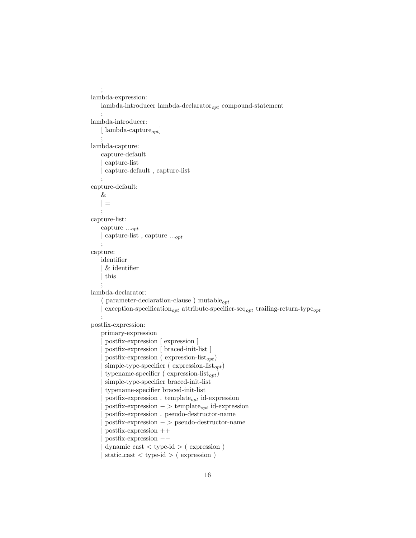```
;
lambda-expression:
   lambda-introducer lambda-declarator_{opt} compound-statement
    ;
lambda-introducer:
    \left[ \text{ lambda-capture}_{opt} \right];
lambda-capture:
    capture-default
     | capture-list
     | capture-default , capture-list
    ;
capture-default:
    &
    | =;
capture-list:
    capture ...opt
    | capture-list , capture ...opt
    ;
capture:
   identifier
    | & identifier
     | this
    ;
lambda-declarator:
    ( parameter-declaration-clause ) mutable_{opt}{\rm exception\text{-}specification}_{opt} attribute-specifier-seq<sub>opt</sub> trailing-return-type<sub>opt</sub>
    ;
postfix-expression:
    primary-expression
     | postfix-expression [ expression ]
     | postfix-expression [ braced-init-list ]
      postfix-expression (\text{expression-list}_{opt})
      \mbox{simple-type-specific}\left( \mbox{ expression-list}_{opt} \right)typename-specificer (expression-list<sub>opt</sub>)simple-type-specifier braced-init-list
      | typename-specifier braced-init-list
      \text{postfix-expression}. template<sub>opt</sub> id-expression
      \text{postfix-expression} \rightarrow \text{template}_{opt} \text{ id-expression}| postfix-expression . pseudo-destructor-name
      | postfix-expression − > pseudo-destructor-name
      | postfix-expression ++
     | postfix-expression −−
     dynamic_cast < type-id > ( expression )
     static\_cast < type-id > (expression)
```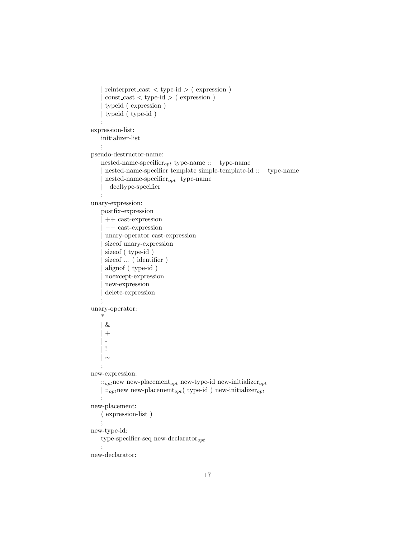```
| reinterpret cast < type-id > ( expression )
     const\_{cast} < type-id > ( expression )
     | typeid ( expression )
     | typeid ( type-id )
    ;
expression-list:
   initializer-list
    ;
pseudo-destructor-name:
   nested-name-specifier_{opt} type-name :: type-name
     | nested-name-specifier template simple-template-id :: type-name
     n nested-name-specifier_{opt} type-name
       decltype-specifier
    ;
unary-expression:
   postfix-expression
     | ++ cast-expression
     | −− cast-expression
     | unary-operator cast-expression
     size of unary-expression
     sizeof ( type-id )
     sizeof ... ( identifier )
     alignof ( type-id )
     | noexcept-expression
     | new-expression
     | delete-expression
    ;
unary-operator:
    *
    | &
     +\overline{\phantom{a}}\vert !
   | ∼
   ;
new-expression:
   ::_{opt}new-placement<sub>opt</sub> new-type-id new-initializer<sub>opt</sub>
    \vert::<sub>opt</sub>new new-placement<sub>opt</sub>( type-id ) new-initializer<sub>opt</sub>
    ;
new-placement:
   ( expression-list )
    ;
new-type-id:
   type-specifier-seq new-declarator_{opt};
new-declarator:
```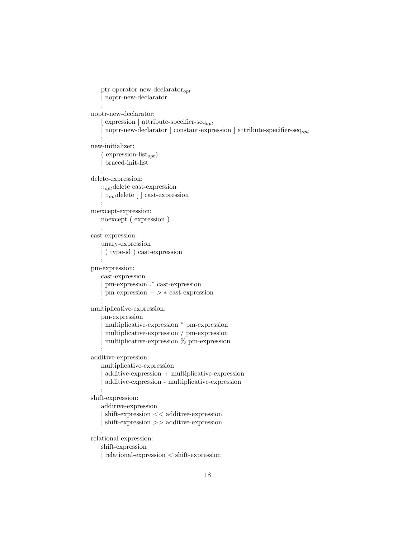```
ptr-operator new-declarator_{opt}| noptr-new-declarator
    ;
noptr-new-declarator:
     expression \vert attribute-specifier-seq<sub>opt</sub>
    noptr-new-declarator \lceil constant-expression \rceil attribute-specifier-seq<sub>opt</sub>
    ;
new-initializer:
    ( expression-list<sub>opt</sub>)| braced-init-list
    ;
delete-expression:
   ::_{opt}delete cast-expression
   | ::<sub>opt</sub>delete [ ] cast-expression
   ;
noexcept-expression:
   noexcept ( expression )
    ;
cast-expression:
   unary-expression
   | ( type-id ) cast-expression
   ;
pm-expression:
   cast-expression
     | pm-expression .* cast-expression
     | pm-expression − > ∗ cast-expression
    ;
multiplicative-expression:
   pm-expression
     | multiplicative-expression * pm-expression
     | multiplicative-expression / pm-expression
     multiplicative-expression \% pm-expression;
additive-expression:
   multiplicative-expression
     additive-expression + multiplicative-expression
    | additive-expression - multiplicative-expression
    ;
shift-expression:
   additive-expression
    | shift-expression << additive-expression
     | shift-expression >> additive-expression
    ;
relational-expression:
   shift-expression
    | relational-expression < shift-expression
```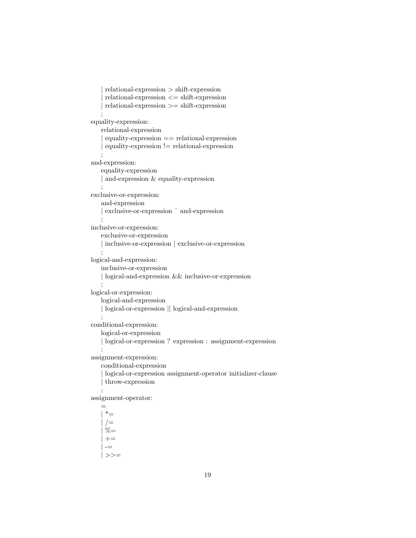```
| relational-expression > shift-expression
    relational-expression \leq shift-expression| relational-expression >= shift-expression
   ;
equality-expression:
   relational-expression
    equality-expression == relational-expressionequality-expression != relational-expression;
and-expression:
   equality-expression
   | and-expression & equality-expression
   ;
exclusive-or-expression:
   and-expression
   | exclusive-or-expression ˆ and-expression
   ;
inclusive-or-expression:
   exclusive-or-expression
   | inclusive-or-expression | exclusive-or-expression
   ;
logical-and-expression:
   inclusive-or-expression
   | logical-and-expression && inclusive-or-expression
   ;
logical-or-expression:
   logical-and-expression
   | logical-or-expression || logical-and-expression
   ;
conditional-expression:
   logical-or-expression
   | logical-or-expression ? expression : assignment-expression
   ;
assignment-expression:
   conditional-expression
    | logical-or-expression assignment-operator initializer-clause
   | throw-expression
   ;
assignment-operator:
   =
     *_{=}/ =% =+=-| \rangle =
```

```
19
```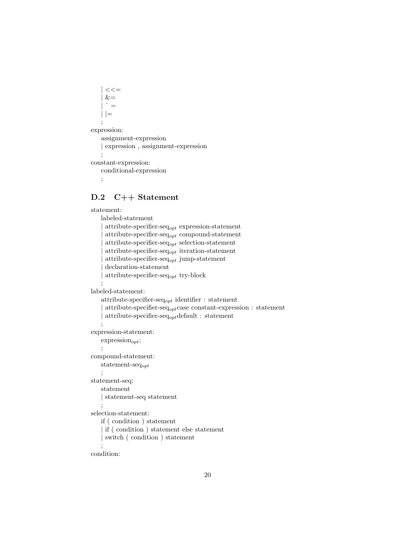```
<<=&=\hat{ } =| |=
    ;
expression:
```

```
assignment-expression
   | expression , assignment-expression
   ;
constant-expression:
   conditional-expression
```

```
;
```
### D.2 C++ Statement

```
statement:
   labeled-statement
```

```
attribute-specifier-seq_{opt} expression-statement
     \text{attribute-specific}r-seq<sub>opt</sub> compound-statement
      \text{attribute-specific}r-seq<sub>opt</sub> selection-statement
      \text{attribute-specific}regort iteration-statement
     \text{attribute-specific}r-seq<sub>opt</sub> jump-statement
     | declaration-statement
     attribute-specifier-seq_{opt} try-block
    ;
labeled-statement:
    attribute-specifier-seq<sub>opt</sub> identifier : statement
     \text{attribute-specific} \text{reg}_{\text{opt}} \text{case constant-expression}: \text{statement}attribute-specifier-seq_{opt}default : statement
    ;
expression-statement:
    \text{expression}_{opt};;
compound-statement:
   statement-seqopt
    ;
statement-seq:
   statement
    | statement-seq statement
    ;
selection-statement:
   if ( condition ) statement
    | if ( condition ) statement else statement
    | switch ( condition ) statement
    ;
condition:
```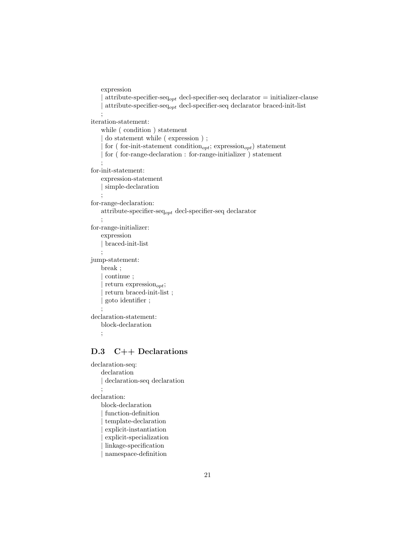```
expression
     attribute-specifier-seq<sub>opt</sub> decl-specifier-seq declarator = initializer-clause
     \text{attribute-specific}r-seq<sub>opt</sub> decl-specifier-seq declarator braced-init-list
    ;
iteration-statement:
    while ( condition ) statement
     do statement while ( expression ) ;
     for ( for-init-statement condition<sub>opt</sub>; expression<sub>opt</sub>) statement
     | for ( for-range-declaration : for-range-initializer ) statement
    ;
for-init-statement:
    expression-statement
    | simple-declaration
    ;
for-range-declaration:
    attribute-specifier-seq_{opt} decl-specifier-seq declarator
    ;
for-range-initializer:
   expression
    | braced-init-list
    ;
jump-statement:
    break ;
     | continue ;
     return expression<sub>opt</sub>;
     return braced-init-list;
     | goto identifier ;
    ;
declaration-statement:
   block-declaration
    ;
```
### D.3 C++ Declarations

```
declaration-seq:
   declaration
   | declaration-seq declaration
    ;
declaration:
   block-declaration
     function-definition
     | template-declaration
     | explicit-instantiation
     explicit-specialization
     | linkage-specification
     | namespace-definition
```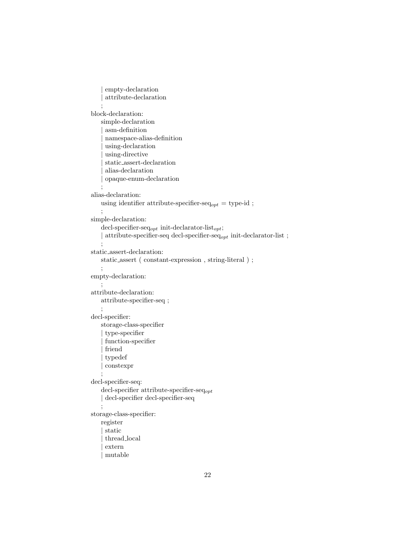```
empty-declaration
     | attribute-declaration
    ;
block-declaration:
   simple-declaration
     | asm-definition
     | namespace-alias-definition
     using-declaration
     using-directive
     | static assert-declaration
     | alias-declaration
     | opaque-enum-declaration
    ;
alias-declaration:
   using identifier attribute-specifier-seq_{opt} = type-id ;
    ;
simple-declaration:
    \text{decl-specific} \text{r-seq}_{opt} in<br>it-declarator-list _{opt};| attribute-specifier-seq decl-specifier-seq_{opt} init-declarator-list ;
    ;
static assert-declaration:
   static assert ( constant-expression , string-literal ) ;
    ;
empty-declaration:
    ;
attribute-declaration:
   attribute-specifier-seq ;
    ;
decl-specifier:
   storage-class-specifier
     | type-specifier
     | function-specifier
     friend
     | typedef
     | constexpr
    ;
decl-specifier-seq:
    decl-specifier attribute-specifier-seq<sub>opt</sub>
    | decl-specifier decl-specifier-seq
   ;
storage-class-specifier:
   register
     | static
     | thread local
     | extern
     | mutable
```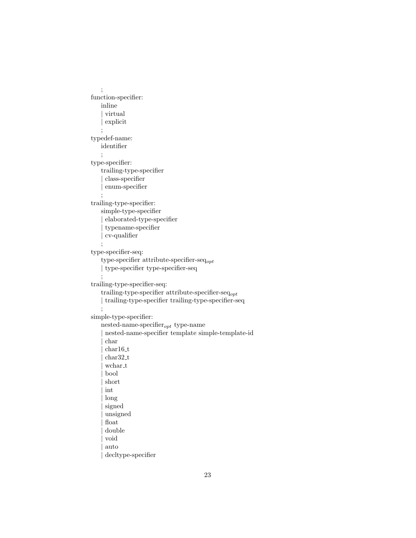```
;
function-specifier:
   inline
     | virtual
     | explicit
    ;
typedef-name:
   identifier
    ;
type-specifier:
   trailing-type-specifier
     | class-specifier
     | enum-specifier
    ;
trailing-type-specifier:
   simple-type-specifier
     | elaborated-type-specifier
     | typename-specifier
     | cv-qualifier
    ;
type-specifier-seq:
   type-specifier attribute-specifier-seq_{opt}| type-specifier type-specifier-seq
    ;
trailing-type-specifier-seq:
   trailing-type-specifier attribute-specifier-seq_{opt}| trailing-type-specifier trailing-type-specifier-seq
    ;
simple-type-specifier:
   nested-name-specifier_{opt} type-name
     | nested-name-specifier template simple-template-id
     | char
     char16-tchar32_twchar_t
     | bool
     | short
     | int
     | long
     signed
     | unsigned
     \operatorname{float}double
     | void
     | auto
     decltype-specifier
```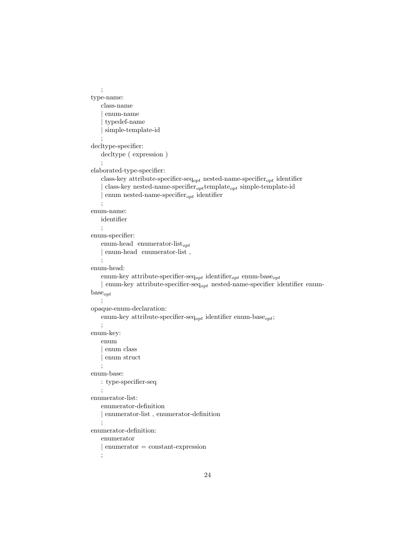```
;
type-name:
   class-name
     | enum-name
     | typedef-name
     | simple-template-id
    ;
decltype-specifier:
   decltype ( expression )
    ;
elaborated-type-specifier:
   class-key attribute-specifier-seq<sub>opt</sub> nested-name-specifier<sub>opt</sub> identifier
     class-key nested-name-specifier<sub>opt</sub> template<sub>opt</sub> simple-template-id
     enum nested-name-specifier_{opt} identifier
    ;
enum-name:
   identifier
    ;
enum-specifier:
   enum-head enumerator-list_{opt}| enum-head enumerator-list,
   ;
enum-head:
   enum-key attribute-specifier-seq<sub>opt</sub> identifier<sub>opt</sub> enum-base<sub>opt</sub>
    | enum-key attribute-specifier-seq<sub>opt</sub> nested-name-specifier identifier enum-
base_{opt};
opaque-enum-declaration:
   enum-key attribute-specifier-seq<sub>opt</sub> identifier enum-base<sub>opt</sub>;
   ;
enum-key:
   enum
    | enum class
     | enum struct
    ;
enum-base:
   : type-specifier-seq
   ;
enumerator-list:
   enumerator-definition
    | enumerator-list , enumerator-definition
    ;
enumerator-definition:
   enumerator
    | enumerator = constant-expression
    ;
```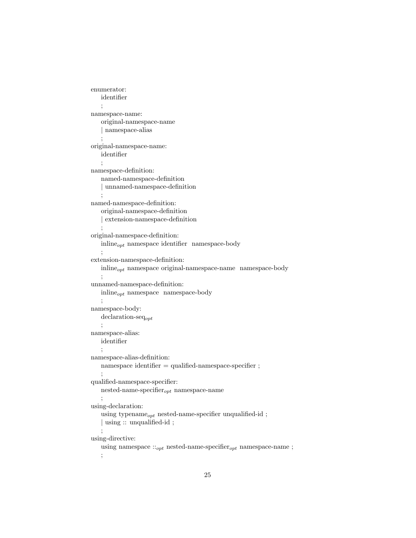```
enumerator:
   identifier
   ;
namespace-name:
   original-namespace-name
   | namespace-alias
    ;
original-namespace-name:
   identifier
   ;
namespace-definition:
   named-namespace-definition
   | unnamed-namespace-definition
   ;
named-namespace-definition:
   original-namespace-definition
   | extension-namespace-definition
    ;
original-namespace-definition:
   \text{inline}_{opt} namespace identifier namespace-body
   ;
extension-namespace-definition:
   inline<sub>opt</sub> namespace original-namespace-name namespace-body
   ;
unnamed-namespace-definition:
   inline_{opt} namespace namespace-body
    ;
namespace-body:
   declaration-seq<sub>opt</sub>
   ;
namespace-alias:
   identifier
   ;
namespace-alias-definition:
   namespace identifier = qualified-namespace-specifier ;
    ;
qualified-namespace-specifier:
   nested-name-specifier_{opt} namespace-name
   ;
using-declaration:
   using typename_{opt} nested-name-specifier unqualified-id;
   | using :: unqualified-id ;
   ;
using-directive:
   using namespace ::_{opt} nested-name-specifier_{opt} namespace-name ;
   ;
```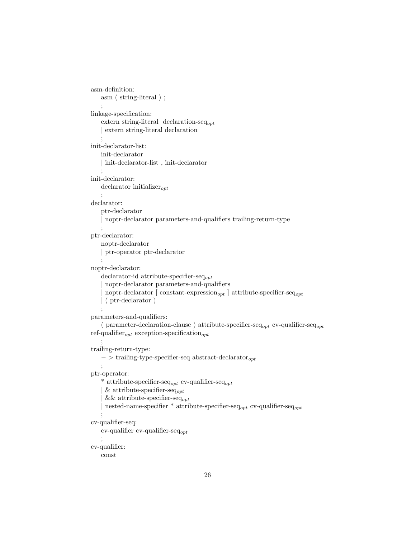```
asm-definition:
    asm ( string-literal ) ;
    ;
linkage-specification:
    extern string-literal declaration-seq_{opt}| extern string-literal declaration
    ;
init-declarator-list:
    init-declarator
    | init-declarator-list , init-declarator
    ;
init-declarator:
    \text{ declarator}\text{ }initializer_{opt};
declarator:
    ptr-declarator
    | noptr-declarator parameters-and-qualifiers trailing-return-type
    ;
ptr-declarator:
    noptr-declarator
    | ptr-operator ptr-declarator
    ;
noptr-declarator:
    declarator-id attribute-specifier-seq<sub>opt</sub>
     | noptr-declarator parameters-and-qualifiers
     noptr-declarator [ constant-expression<sub>opt</sub> ] attribute-specifier-seq<sub>opt</sub>
    | ( ptr-declarator )
    ;
parameters-and-qualifiers:
    ( parameter-declaration-clause ) attribute-specifier-seq<sub>opt</sub> cv-qualifier-seq<sub>opt</sub>
ref-qualifier_{opt} exception-specification<sub>opt</sub>
    ;
trailing-return-type:
    - > trailing-type-specifier-seq abstract-declarator<sub>opt</sub>
    ;
ptr-operator:
    * attribute-specifier-seq<sub>opt</sub> cv-qualifier-seq<sub>opt</sub>
     & attribute-specifier-seq<sub>opt</sub>
     && attribute-specifier-seq_{opt}nested-name-specifier * attribute-specifier-seq<sub>opt</sub> cv-qualifier-seq<sub>opt</sub>
    ;
cv-qualifier-seq:
    cv-qualifier cv-qualifier-seq<sub>opt</sub>
    ;
cv-qualifier:
    const
```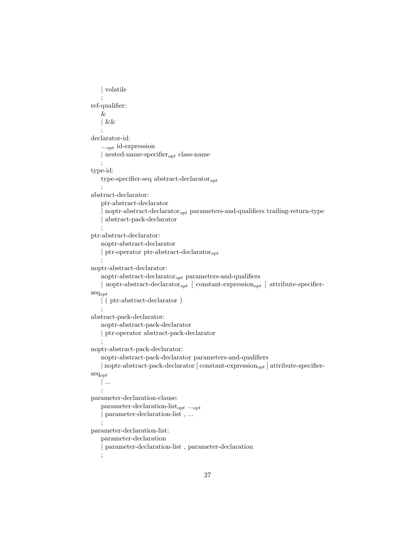```
| volatile
    ;
ref-qualifier:
    &
    | &&
    ;
declarator-id:
    \ldots<sub>opt</sub> id-expression
    | nested-name-specifier_{opt} class-name
   ;
type-id:
    type-specifier-seq abstract-declarator_{opt};
abstract-declarator:
    ptr-abstract-declarator
     noptr-abstract-declarator<sub>opt</sub> parameters-and-qualifiers trailing-return-type
     | abstract-pack-declarator
    ;
ptr-abstract-declarator:
    noptr-abstract-declarator
    | ptr-operator ptr-abstract-declarator_{opt};
noptr-abstract-declarator:
    noptr-abstract-declarator_{opt} parameters-and-qualifiers
    | noptr-abstract-declarator<sub>opt</sub> | constant-expression<sub>opt</sub> | attribute-specifier-
seqopt
    | ( ptr-abstract-declarator )
    ;
abstract-pack-declarator:
    noptr-abstract-pack-declarator
    | ptr-operator abstract-pack-declarator
   ;
noptr-abstract-pack-declarator:
    noptr-abstract-pack-declarator parameters-and-qualifiers
    | noptr-abstract-pack-declarator [ constant-expression<sub>opt</sub> ] attribute-specifier-
\mathrm{seq}_{opt}| ...
    ;
parameter-declaration-clause:
    parameter-declaration-list_{opt} ..._{opt}| parameter-declaration-list , ...
    ;
parameter-declaration-list:
    parameter-declaration
     | parameter-declaration-list , parameter-declaration
    ;
```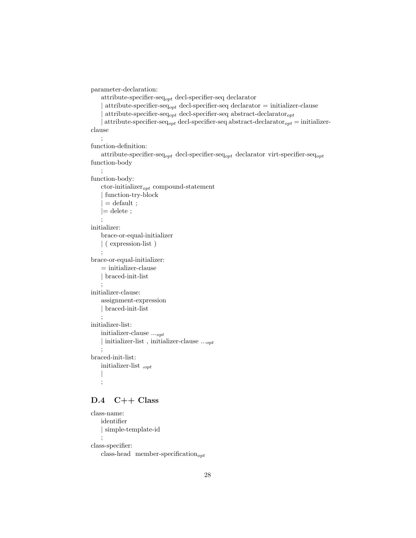```
parameter-declaration:
    attribute-specifier-seq_{opt} decl-specifier-seq declarator
     attribute-specifier-seq<sub>opt</sub> decl-specifier-seq declarator = initializer-clause
     attribute-specifier-seq<sub>opt</sub> decl-specifier-seq abstract-declarator<sub>opt</sub>
     attribute-specifier-seq<sub>opt</sub> decl-specifier-seq abstract-declarator<sub>opt</sub> = initializer-
clause
    ;
function-definition:
    attribute-specifier-seq<sub>opt</sub> decl-specifier-seq<sub>opt</sub> declarator virt-specifier-seq<sub>opt</sub>
function-body
    ;
function-body:
    ctor-initializer_{opt} compound-statement
     | function-try-block
     = default ;
    |= delete ;
    ;
initializer:
    brace-or-equal-initializer
    | ( expression-list )
    ;
brace-or-equal-initializer:
    = initializer-clause
    | braced-init-list
    ;
initializer-clause:
    assignment-expression
    | braced-init-list
    ;
initializer-list:
    initializer-clause ...opt
    | initializer-list, initializer-clause \ldots_{opt};
braced-init-list:
    initializer-list,_{opt}|
    ;
```
#### D.4 C++ Class

```
class-name:
   identifier
   | simple-template-id
    ;
class-specifier:
   class-head member-specification_{opt}
```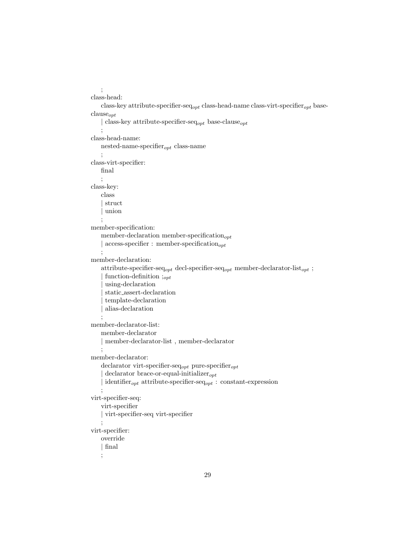```
;
class-head:
    class-key attribute-specifier-seq<sub>opt</sub> class-head-name class-virt-specifier<sub>opt</sub> base-
clause_{opt}| class-key attribute-specifier-seq<sub>opt</sub> base-clause<sub>opt</sub>
    ;
class-head-name:
    nested-name-specifier_{opt} class-name
    ;
class-virt-specifier:
    final
    ;
class-key:
    class
     | struct
     | union
    ;
member-specification:
    member-declaration member-specification_{opt}| access-specifier : member-specification_{opt};
member-declaration:
    attribute-specifier-seq<sub>opt</sub> decl-specifier-seq<sub>opt</sub> member-declarator-list<sub>opt</sub>;
     function-definition ;_{opt}| using-declaration
     | static assert-declaration
     | template-declaration
     | alias-declaration
    ;
member-declarator-list:
    member-declarator
    | member-declarator-list , member-declarator
    ;
member-declarator:
    declarator virt-specifier-seq_{opt} pure-specifier_{opt}\text{ declarator}\,\text{brace-or-equal-initalizer}_{\text{opt}}\mathrm{identity}_{opt} attribute-specifier-seq<sub>opt</sub> : constant-expression
    ;
virt-specifier-seq:
    virt-specifier
    | virt-specifier-seq virt-specifier
    ;
virt-specifier:
    override
    | final
    ;
```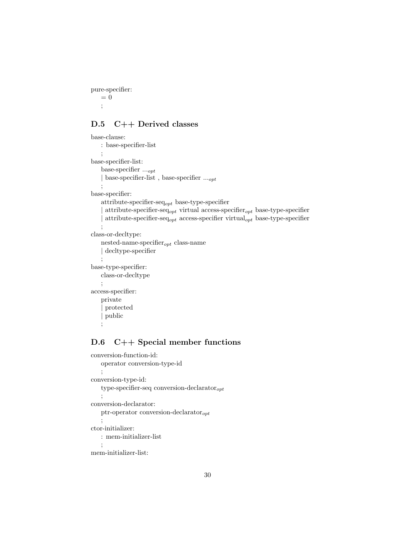pure-specifier:  $\,=\,0$ ;

### D.5 C++ Derived classes

```
base-clause:
   : base-specifier-list
    ;
base-specifier-list:
    base-specifier ...opt
    | base-specifier-list, base-specifier ..._{opt};
base-specifier:
    attribute-specifier-seq_{opt} base-type-specifier
     attribute-specifier-seq<sub>opt</sub> virtual access-specifier<sub>opt</sub> base-type-specifier
     attribute-specifier-seq<sub>opt</sub> access-specifier virtual<sub>opt</sub> base-type-specifier
    ;
class-or-decltype:
   nested-name-specifier_{opt} class-name
    | decltype-specifier
    ;
base-type-specifier:
   class-or-decltype
    ;
access-specifier:
   private
     | protected
     | public
    ;
```
## D.6 C++ Special member functions

```
conversion-function-id:
   operator conversion-type-id
   ;
conversion-type-id:
   type-specifier-seq conversion-declarator_{opt};
conversion-declarator:
   ptr-operator conversion-declarator_{opt};
ctor-initializer:
   : mem-initializer-list
    ;
mem-initializer-list:
```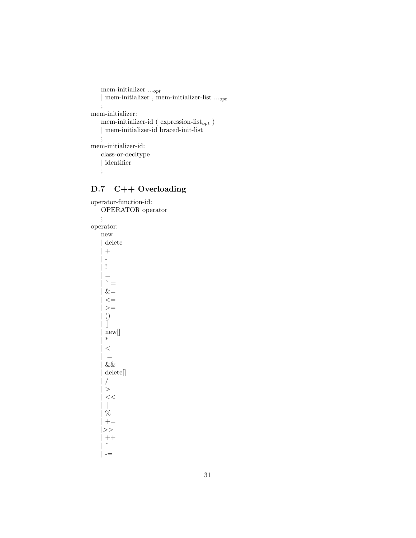```
mem-initializer\ldots_{opt}| mem-initializer , mem-initializer-list \ldots_{opt};
mem-initializer:
   mem-initializer-id ( \rm expression\text{-}list_{opt} )
    | mem-initializer-id braced-init-list
    ;
mem-initializer-id:
    class-or-decltype
    | identifier
   ;
```
# D.7 C++ Overloading

operator-function-id: OPERATOR operator ; operator: new | delete  $+$  $\overline{\phantom{a}}$ | !  $=$  $\hat{ }$  =  $&=$  $\mathrel{<=}$  $>=$ | ()  $\ddot{\parallel}$ | new[]  $\ast$  $\,<$  $|=$  $\&\&$ | delete[]  $/$  $>$  $<<$  $\vert\vert$  $%$  $| + =$ |>>  $\, + +$  $\hat{\phantom{a}}$  $\vert - =$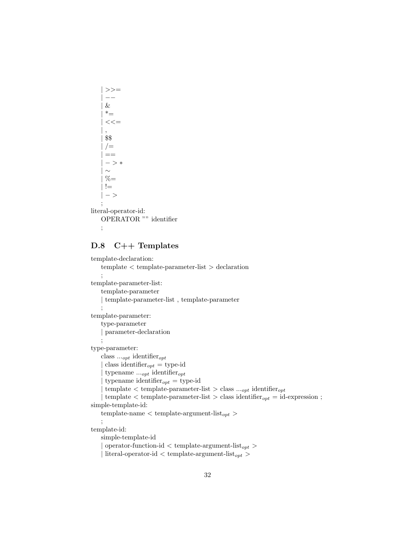$>>=$ | −−  $\&$  $*_{=}$  $<<=$ | , | \$\$  $/$   $=$  $=$  $-$  >  $*$  $\sim$  $% =$  $! =$  $-$  > ; literal-operator-id: OPERATOR "" identifier

;

#### D.8 C++ Templates

```
template-declaration:
    template < template-parameter-list > declaration
    ;
template-parameter-list:
    template-parameter
    | template-parameter-list , template-parameter
    ;
template-parameter:
    type-parameter
    | parameter-declaration
    ;
type-parameter:
    class \ldots_{opt} identifier<sub>opt</sub>
     class identifier_{opt} = type-id
      typename ..._{opt} identifier<sub>opt</sub>
      typename identifier_{opt} = type-id
     \text{template} < \text{template-parameter-list} > \text{class } ..._{opt} \text{ identifier}_{opt}\text{template} < \text{template-parameter-list} > \text{class identifier}_{opt} = \text{id-expression};simple-template-id:
    template-name \langle template-argument-list<sub>opt</sub> >;
template-id:
    simple-template-id
     \text{operator-function-id} < \text{template-argument-list}_{opt} >\text{literal-operator-id} < \text{template-argument-list}_{opt} >
```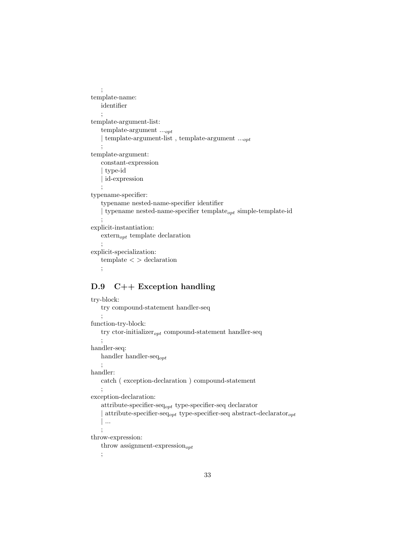```
;
template-name:
   identifier
    ;
template-argument-list:
   template-argument ...opt
   | template-argument-list, template-argument ...<sub>opt</sub>
   ;
template-argument:
   constant-expression
   | type-id
    id-expression
   ;
typename-specifier:
   typename nested-name-specifier identifier
   | typename nested-name-specifier template_{opt} simple-template-id
    ;
explicit-instantiation:
   extern<sub>opt</sub> template declaration
    ;
explicit-specialization:
   template < > declaration
   ;
```
#### D.9 C++ Exception handling

```
try-block:
   try compound-statement handler-seq
    ;
function-try-block:
    try ctor-initializer_{opt} compound-statement handler-seq
    ;
handler-seq:
   handler handler-seqopt
    ;
handler:
   catch ( exception-declaration ) compound-statement
    ;
exception-declaration:
    attribute-specifier-seq<sub>opt</sub> type-specifier-seq declarator
     attribute-specifier-seq<sub>opt</sub> type-specifier-seq abstract-declarator<sub>opt</sub>
    | ...
    ;
throw-expression:
    throw assignment-expression_{opt};
```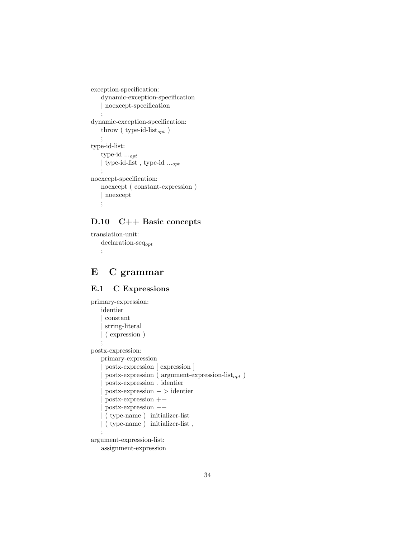```
exception-specification:
   dynamic-exception-specification
   | noexcept-specification
    ;
dynamic-exception-specification:
   throw (type-id-list_{opt})
   ;
type-id-list:
   type-id ...opt
   | type-id-list , type-id ...opt
    ;
noexcept-specification:
   noexcept ( constant-expression )
   | noexcept
   ;
```
## D.10 C++ Basic concepts

```
translation-unit:
   declaration-seqopt
   ;
```
# E C grammar

### E.1 C Expressions

```
primary-expression:
   identier
     | constant
     | string-literal
   | ( expression )
    ;
postx-expression:
   primary-expression
     | postx-expression [ expression ]
     postx-expression ( argument-expression-list<sub>opt</sub> )
     | postx-expression . identier
     | postx-expression − > identier
     | postx-expression ++
     | postx-expression −−
     | ( type-name ) initializer-list
   | ( type-name ) initializer-list ,
   ;
argument-expression-list:
   assignment-expression
```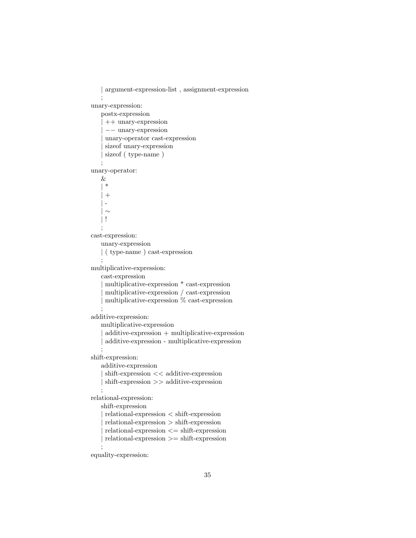```
| argument-expression-list , assignment-expression
   ;
unary-expression:
   postx-expression
     | ++ unary-expression
     | −− unary-expression
    | unary-operator cast-expression
    sizeof unary-expression
    sizeof ( type-name )
   ;
unary-operator:
   &
   | *
   | +\| -
     \sim| !
   ;
cast-expression:
   unary-expression
   | ( type-name ) cast-expression
   ;
multiplicative-expression:
   cast-expression
    | multiplicative-expression * cast-expression
    | multiplicative-expression / cast-expression
    | multiplicative-expression % cast-expression
    ;
additive-expression:
   multiplicative-expression
     additive-expression + multiplicative-expression
    | additive-expression - multiplicative-expression
    ;
shift-expression:
   additive-expression
    | shift-expression << additive-expression
   | shift-expression >> additive-expression
   ;
relational-expression:
   shift-expression
   | relational-expression < shift-expression
    | relational-expression > shift-expression
     relational-expression \leq shift-expressionrelational-expression >= shift-expression;
```
equality-expression: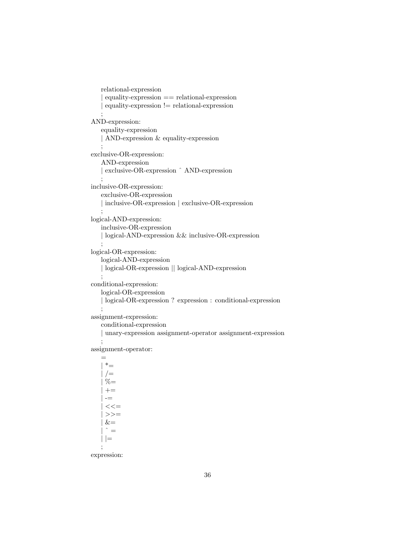```
relational-expression
    | equality-expression == relational-expression
    | equality-expression != relational-expression
   ;
AND-expression:
   equality-expression
   | AND-expression & equality-expression
   ;
exclusive-OR-expression:
   AND-expression
   | exclusive-OR-expression ˆ AND-expression
   ;
inclusive-OR-expression:
   exclusive-OR-expression
   | inclusive-OR-expression | exclusive-OR-expression
   ;
logical-AND-expression:
   inclusive-OR-expression
   | logical-AND-expression && inclusive-OR-expression
   ;
logical-OR-expression:
   logical-AND-expression
   | logical-OR-expression || logical-AND-expression
   ;
conditional-expression:
   logical-OR-expression
   | logical-OR-expression ? expression : conditional-expression
   ;
assignment-expression:
   conditional-expression
    | unary-expression assignment-operator assignment-expression
   ;
assignment-operator:
```
=  $| * =$  $/$ =  $% =$  $+=$  $\overline{\phantom{a}}$  $<<=$  $\gt$   $\gt$   $=$  $&=$  $\hat{ }$   $=$  $| \ |$ ;

expression: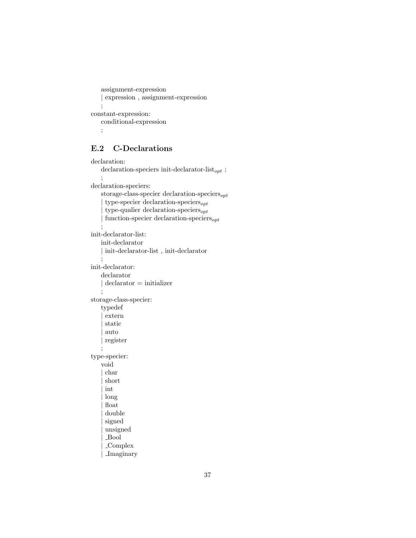```
assignment-expression
   | expression , assignment-expression
   ;
constant-expression:
   conditional-expression
   ;
```
## E.2 C-Declarations

```
declaration:
    declaration-speciers in<br>it-declarator-list<sub>opt</sub> ;
    ;
declaration-speciers:
    storage-class-specier declaration-speciers_{opt}\tt type-specific declaration-specifics_{opt}\tt type-qualier declaration-speciers_{opt}{\rm function\mbox{-}specier\,\, declaration\mbox{-}species};
init-declarator-list:
    init-declarator
    | init-declarator-list , init-declarator
    ;
init-declarator:
    declarator
    | declarator = initializer
    ;
storage-class-specier:
    typedef
     | extern
     | static
     | auto
    | register
    ;
type-specier:
    void
     | char
     | short
     | int
     | long
     | float
     | double
     signed
      | unsigned
      | Bool
      | Complex
      | Imaginary
```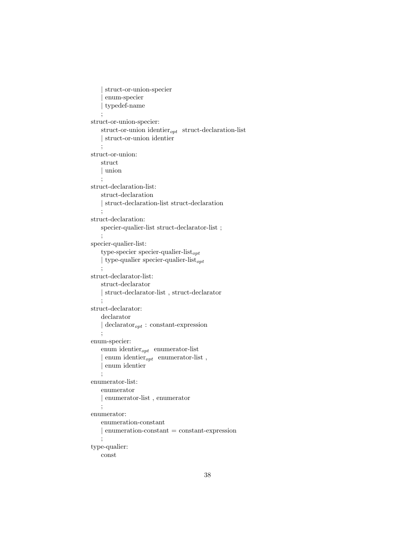```
| struct-or-union-specier
     | enum-specier
     | typedef-name
    ;
struct-or-union-specier:
   struct-or-union identier_{opt} struct-declaration-list
   | struct-or-union identier
   ;
struct-or-union:
   struct
   | union
   ;
struct-declaration-list:
   struct-declaration
   | struct-declaration-list struct-declaration
   ;
struct-declaration:
   specier-qualier-list struct-declarator-list ;
    ;
specier-qualier-list:
   type-specier specier-qualier-list_{opt}| type-qualier specier-qualier-list_{opt};
struct-declarator-list:
   struct-declarator
   | struct-declarator-list , struct-declarator
    ;
struct-declarator:
   declarator
   \vert declarator<sub>opt</sub> : constant-expression
   ;
enum-specier:
   enum identier_{opt} enumerator-list
    enum identier_{opt} enumerator-list,
    | enum identier
   ;
enumerator-list:
   enumerator
   | enumerator-list , enumerator
   ;
enumerator:
   enumeration-constant
   | enumeration-constant = constant-expression
   ;
type-qualier:
   const
```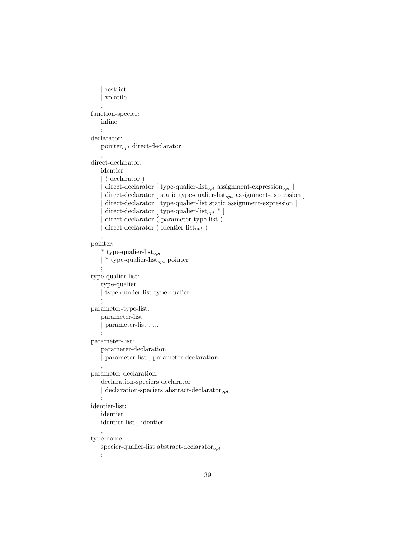```
restrict
     | volatile
    ;
function-specier:
   inline
    ;
declarator:
    pointer_{opt} direct-declarator
    ;
direct-declarator:
   identier
    | ( declarator )
     direct-declarator [ type-qualier-list<sub>opt</sub> assignment-expression<sub>opt</sub> ]
     \text{direct-declarator} [ static type-qualier-list<sub>opt</sub> assignment-expression ]
      direct-declarator [ type\mbox{-}qualier\mbox{-}list static assignment-expression ]
     direct-declarator [ type-qualier-list<sub>opt</sub> * ]
     direct-declarator ( parameter-type-list )
     direct-declarator ( identier-list<sub>opt</sub> )
    ;
pointer:
    * type-qualier-list<sub>opt</sub>
    \vert * type-qualier-list<sub>opt</sub> pointer
    ;
type-qualier-list:
    type-qualier
    | type-qualier-list type-qualier
    ;
parameter-type-list:
    parameter-list
    | parameter-list , ...
    ;
parameter-list:
   parameter-declaration
    | parameter-list , parameter-declaration
    ;
parameter-declaration:
    declaration-speciers declarator
    \vert declaration-speciers abstract-declarator<sub>opt</sub>
    ;
identier-list:
   identier
   identier-list , identier
    ;
type-name:
   specier-qualier-list abstract-declarator_{opt};
```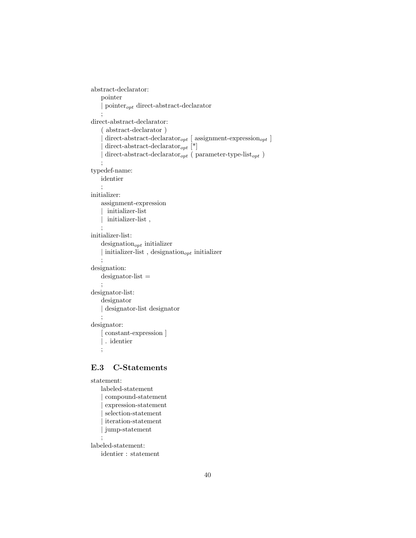```
abstract-declarator:
    pointer
    | pointer_{opt} direct-abstract-declarator
    ;
direct-abstract-declarator:
    ( abstract-declarator )
     direct-abstract-declarator<sub>opt</sub> [ assignment-expression<sub>opt</sub> ]
     \text{direct-abstract-declarator}_{opt} [*]
     direct-abstract-declarator _{opt} ( parameter-type-list _{opt} )
    ;
typedef-name:
   identier
    ;
initializer:
   assignment-expression
      initializer-list
      initializer-list,
    ;
initializer-list:
    designation_{opt} initializer
    | initializer-list, designation_{opt} initializer
    ;
designation:
    designator-list =;
designator-list:
    designator
    | designator-list designator
    ;
designator:
     constant-expression ]
    | . identier
    ;
```
### E.3 C-Statements

```
statement:
   labeled-statement
    | compound-statement
     | expression-statement
     | selection-statement
     | iteration-statement
    | jump-statement
    ;
labeled-statement:
   identier : statement
```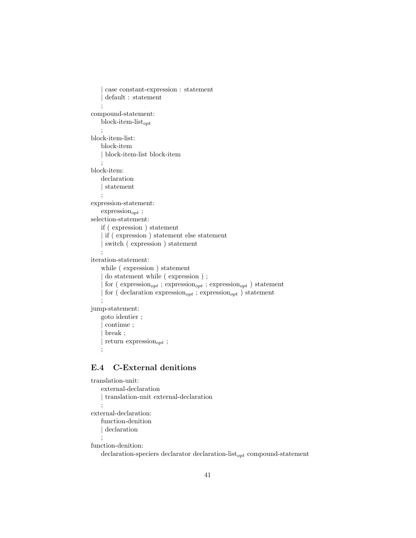```
| case constant-expression : statement
     \rm default: statement
    ;
compound-statement:
   block-item-list_{opt};
block-item-list:
   block-item
    | block-item-list block-item
   ;
block-item:
   declaration
    | statement
   ;
expression-statement:
    \text{expression}_{opt};
selection-statement:
   if ( expression ) statement
    | if ( expression ) statement else statement
     | switch ( expression ) statement
    ;
iteration-statement:
    while ( expression ) statement
     | do statement while ( expression ) ;
     for (\text{expression}_{opt}; expression<sub>opt</sub>; expression<sub>opt</sub>) statement
     for ( declaration \text{expression}_{opt} ; expression<sub>opt</sub> ) statement
    ;
jump-statement:
   goto identier ;
     | continue ;
     | break ;
     return expression_{opt};
```
### ;

### E.4 C-External denitions

```
translation-unit:
   external-declaration
   | translation-unit external-declaration
   ;
external-declaration:
   function-denition
   | declaration
    ;
function-denition:
   declaration-speciers declarator declaration-list_{opt} compound-statement
```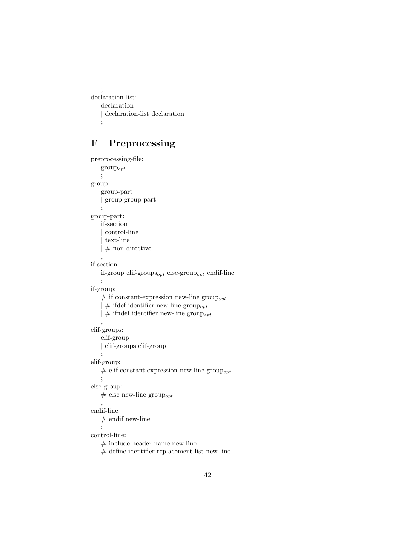```
;
declaration-list:
   declaration
    | declaration-list declaration
    ;
```
# F Preprocessing

```
preprocessing-file:
    groupopt
    ;
group:
    group-part
    | group group-part
    ;
group-part:
    if-section
     | control-line
     | text-line
    | # non-directive
    ;
if-section:
    if-group elif-groups<sub>opt</sub> else-group<sub>opt</sub> endif-line
    ;
if-group:
    # if constant-expression new-line group<sub>opt</sub>
      \# if<br>def identifier new-line \text{group}_{opt}\mid \# ifndef identifier new-line group<sub>opt</sub>
    ;
elif-groups:
    elif-group
    | elif-groups elif-group
    ;
elif-group:
    # elif constant-expression new-line group<sub>opt</sub>
    ;
else-group:
    # else new-line group<sub>opt</sub>
    ;
endif-line:
    # endif new-line
    ;
control-line:
    \# include header-name new-line
    \# define identifier replacement-list new-line
```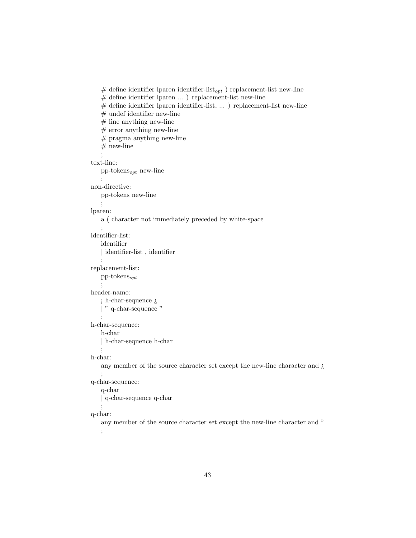```
\# define identifier lparen identifier-list _{opt} ) replacement-list new-line
    # define identifier lparen \ldots ) replacement-list new-line
    # define identifier lparen identifier-list, ... ) replacement-list new-line
    # undef identifier new-line
    # line anything new-line
    # error anything new-line
    # pragma anything new-line
    # new-line
    ;
text-line:
   pp\n-tokens_{opt} new-line
    ;
non-directive:
   pp-tokens new-line
   ;
lparen:
   a ( character not immediately preceded by white-space
    ;
identifier-list:
   identifier
    | identifier-list, identifier
    ;
replacement-list:
   pp\n- tokens_{opt};
header-name:
    \mathfrak jh-char-sequence\mathfrak j| " q-char-sequence "
    ;
h-char-sequence:
   h-char
   | h-char-sequence h-char
   ;
h-char:
   any member of the source character set except the new-line character and \zeta;
q-char-sequence:
   q-char
    | q-char-sequence q-char
   ;
q-char:
   any member of the source character set except the new-line character and "
    ;
```